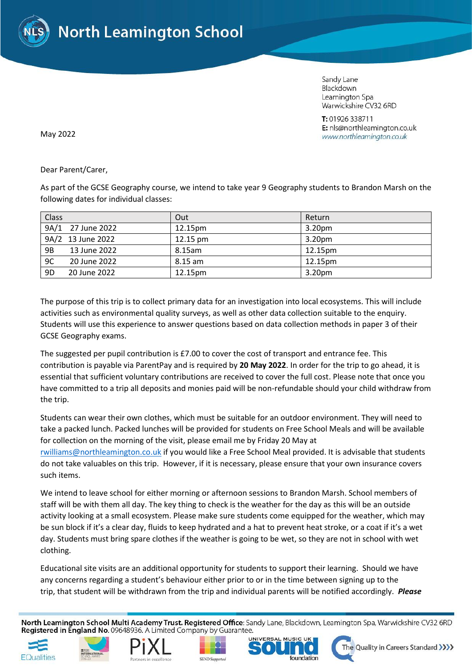

Sandy Lane Blackdown Leamington Spa Warwickshire CV32 6RD

T: 01926 338711 E: nls@northleamington.co.uk www.northleamington.co.uk

May 2022

Dear Parent/Carer,

As part of the GCSE Geography course, we intend to take year 9 Geography students to Brandon Marsh on the following dates for individual classes:

| Class     |                   | Out                | Return             |
|-----------|-------------------|--------------------|--------------------|
|           | 9A/1 27 June 2022 | 12.15pm            | 3.20 <sub>pm</sub> |
|           | 9A/2 13 June 2022 | $12.15 \text{ pm}$ | 3.20 <sub>pm</sub> |
| <b>9B</b> | 13 June 2022      | 8.15am             | 12.15pm            |
| 9C        | 20 June 2022      | 8.15 am            | 12.15pm            |
| 9D        | 20 June 2022      | 12.15pm            | 3.20 <sub>pm</sub> |

The purpose of this trip is to collect primary data for an investigation into local ecosystems. This will include activities such as environmental quality surveys, as well as other data collection suitable to the enquiry. Students will use this experience to answer questions based on data collection methods in paper 3 of their GCSE Geography exams.

The suggested per pupil contribution is £7.00 to cover the cost of transport and entrance fee. This contribution is payable via ParentPay and is required by **20 May 2022**. In order for the trip to go ahead, it is essential that sufficient voluntary contributions are received to cover the full cost. Please note that once you have committed to a trip all deposits and monies paid will be non-refundable should your child withdraw from the trip.

Students can wear their own clothes, which must be suitable for an outdoor environment. They will need to take a packed lunch. Packed lunches will be provided for students on Free School Meals and will be available for collection on the morning of the visit, please email me by Friday 20 May at

[rwilliams@northleamington.co.uk](mailto:rwilliams@northleamington.co.uk) if you would like a Free School Meal provided. It is advisable that students do not take valuables on this trip. However, if it is necessary, please ensure that your own insurance covers such items.

We intend to leave school for either morning or afternoon sessions to Brandon Marsh. School members of staff will be with them all day. The key thing to check is the weather for the day as this will be an outside activity looking at a small ecosystem. Please make sure students come equipped for the weather, which may be sun block if it's a clear day, fluids to keep hydrated and a hat to prevent heat stroke, or a coat if it's a wet day. Students must bring spare clothes if the weather is going to be wet, so they are not in school with wet clothing.

Educational site visits are an additional opportunity for students to support their learning. Should we have any concerns regarding a student's behaviour either prior to or in the time between signing up to the trip, that student will be withdrawn from the trip and individual parents will be notified accordingly. *Please* 

North Leamington School Multi Academy Trust. Registered Office: Sandy Lane, Blackdown, Leamington Spa, Warwickshire CV32 6RD Registered in England No. 09648936. A Limited Company by Guarantee.